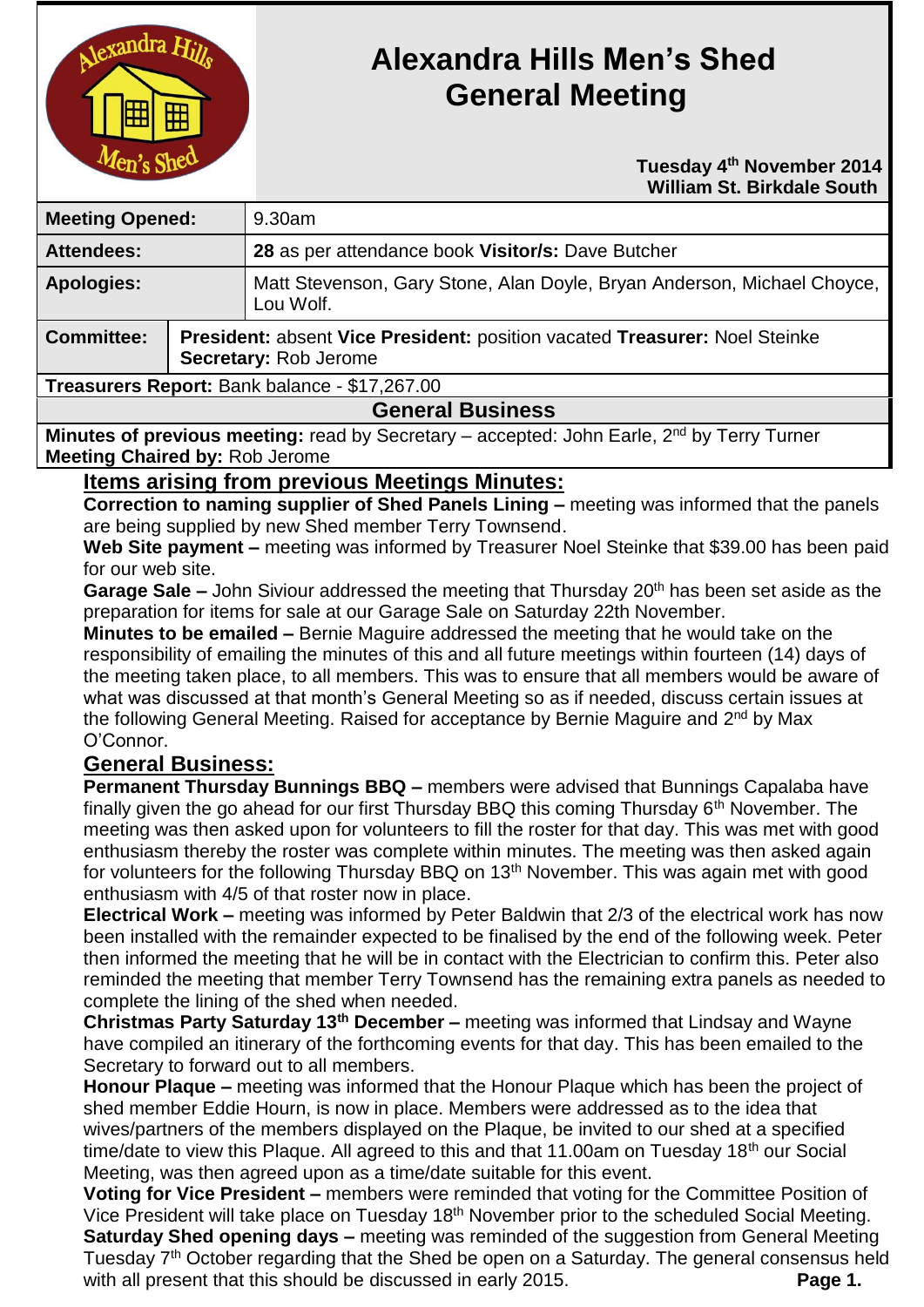

# **Alexandra Hills Men's Shed General Meeting**

 **Tuesday 4 th November 2014 William St. Birkdale South** 

| <b>Meeting Opened:</b>                                                                                 |                                                                                                     | 9.30am                                                                               |
|--------------------------------------------------------------------------------------------------------|-----------------------------------------------------------------------------------------------------|--------------------------------------------------------------------------------------|
| <b>Attendees:</b>                                                                                      |                                                                                                     | 28 as per attendance book Visitor/s: Dave Butcher                                    |
| <b>Apologies:</b>                                                                                      |                                                                                                     | Matt Stevenson, Gary Stone, Alan Doyle, Bryan Anderson, Michael Choyce,<br>Lou Wolf. |
| <b>Committee:</b>                                                                                      | President: absent Vice President: position vacated Treasurer: Noel Steinke<br>Secretary: Rob Jerome |                                                                                      |
| Treasurers Report: Bank balance - \$17,267.00                                                          |                                                                                                     |                                                                                      |
| <b>General Business</b>                                                                                |                                                                                                     |                                                                                      |
| <b>Minutes of previous meeting:</b> read by Secretary – accepted: John Earle, $2^{nd}$ by Terry Turner |                                                                                                     |                                                                                      |

**Meeting Chaired by:** Rob Jerome

#### **Items arising from previous Meetings Minutes:**

**Correction to naming supplier of Shed Panels Lining –** meeting was informed that the panels are being supplied by new Shed member Terry Townsend.

**Web Site payment –** meeting was informed by Treasurer Noel Steinke that \$39.00 has been paid for our web site.

**Garage Sale –** John Siviour addressed the meeting that Thursday 20<sup>th</sup> has been set aside as the preparation for items for sale at our Garage Sale on Saturday 22th November.

**Minutes to be emailed –** Bernie Maguire addressed the meeting that he would take on the responsibility of emailing the minutes of this and all future meetings within fourteen (14) days of the meeting taken place, to all members. This was to ensure that all members would be aware of what was discussed at that month's General Meeting so as if needed, discuss certain issues at the following General Meeting. Raised for acceptance by Bernie Maguire and 2<sup>nd</sup> by Max O'Connor.

#### **General Business:**

**Permanent Thursday Bunnings BBQ –** members were advised that Bunnings Capalaba have finally given the go ahead for our first Thursday BBQ this coming Thursday  $6<sup>th</sup>$  November. The meeting was then asked upon for volunteers to fill the roster for that day. This was met with good enthusiasm thereby the roster was complete within minutes. The meeting was then asked again for volunteers for the following Thursday BBQ on 13<sup>th</sup> November. This was again met with good enthusiasm with 4/5 of that roster now in place.

**Electrical Work –** meeting was informed by Peter Baldwin that 2/3 of the electrical work has now been installed with the remainder expected to be finalised by the end of the following week. Peter then informed the meeting that he will be in contact with the Electrician to confirm this. Peter also reminded the meeting that member Terry Townsend has the remaining extra panels as needed to complete the lining of the shed when needed.

**Christmas Party Saturday 13th December –** meeting was informed that Lindsay and Wayne have compiled an itinerary of the forthcoming events for that day. This has been emailed to the Secretary to forward out to all members.

**Honour Plaque –** meeting was informed that the Honour Plaque which has been the project of shed member Eddie Hourn, is now in place. Members were addressed as to the idea that wives/partners of the members displayed on the Plaque, be invited to our shed at a specified time/date to view this Plaque. All agreed to this and that 11.00am on Tuesday 18<sup>th</sup> our Social Meeting, was then agreed upon as a time/date suitable for this event.

**Voting for Vice President –** members were reminded that voting for the Committee Position of Vice President will take place on Tuesday 18<sup>th</sup> November prior to the scheduled Social Meeting. **Saturday Shed opening days –** meeting was reminded of the suggestion from General Meeting Tuesday 7<sup>th</sup> October regarding that the Shed be open on a Saturday. The general consensus held with all present that this should be discussed in early 2015. **Page 1. Page 1.**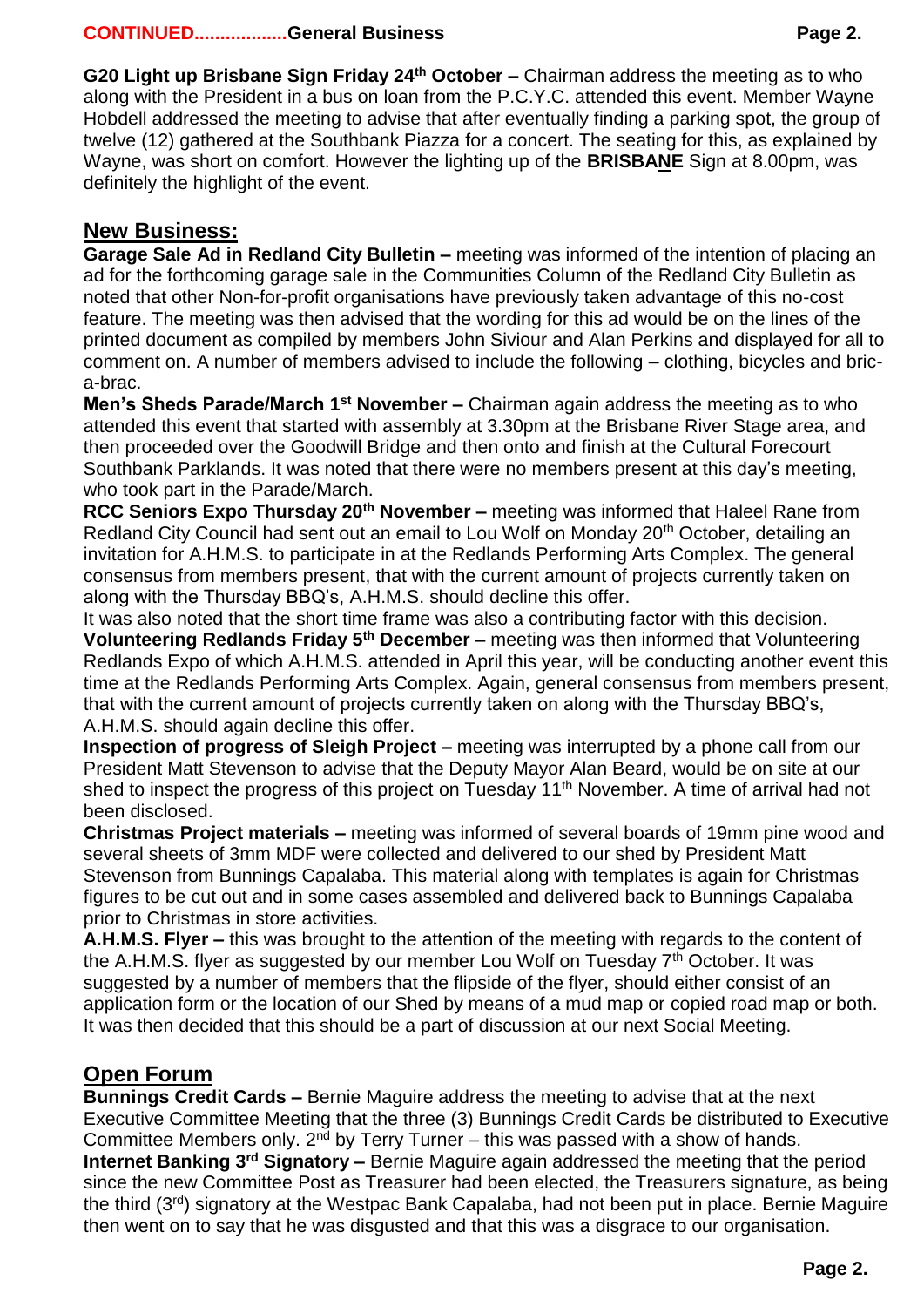**G20 Light up Brisbane Sign Friday 24th October –** Chairman address the meeting as to who along with the President in a bus on loan from the P.C.Y.C. attended this event. Member Wayne Hobdell addressed the meeting to advise that after eventually finding a parking spot, the group of twelve (12) gathered at the Southbank Piazza for a concert. The seating for this, as explained by Wayne, was short on comfort. However the lighting up of the **BRISBANE** Sign at 8.00pm, was definitely the highlight of the event.

## **New Business:**

**Garage Sale Ad in Redland City Bulletin –** meeting was informed of the intention of placing an ad for the forthcoming garage sale in the Communities Column of the Redland City Bulletin as noted that other Non-for-profit organisations have previously taken advantage of this no-cost feature. The meeting was then advised that the wording for this ad would be on the lines of the printed document as compiled by members John Siviour and Alan Perkins and displayed for all to comment on. A number of members advised to include the following – clothing, bicycles and brica-brac.

**Men's Sheds Parade/March 1<sup>st</sup> November –** Chairman again address the meeting as to who attended this event that started with assembly at 3.30pm at the Brisbane River Stage area, and then proceeded over the Goodwill Bridge and then onto and finish at the Cultural Forecourt Southbank Parklands. It was noted that there were no members present at this day's meeting, who took part in the Parade/March.

**RCC Seniors Expo Thursday 20th November –** meeting was informed that Haleel Rane from Redland City Council had sent out an email to Lou Wolf on Monday 20<sup>th</sup> October, detailing an invitation for A.H.M.S. to participate in at the Redlands Performing Arts Complex. The general consensus from members present, that with the current amount of projects currently taken on along with the Thursday BBQ's, A.H.M.S. should decline this offer.

It was also noted that the short time frame was also a contributing factor with this decision. **Volunteering Redlands Friday 5th December –** meeting was then informed that Volunteering Redlands Expo of which A.H.M.S. attended in April this year, will be conducting another event this time at the Redlands Performing Arts Complex. Again, general consensus from members present, that with the current amount of projects currently taken on along with the Thursday BBQ's, A.H.M.S. should again decline this offer.

**Inspection of progress of Sleigh Project –** meeting was interrupted by a phone call from our President Matt Stevenson to advise that the Deputy Mayor Alan Beard, would be on site at our shed to inspect the progress of this project on Tuesday 11<sup>th</sup> November. A time of arrival had not been disclosed.

**Christmas Project materials –** meeting was informed of several boards of 19mm pine wood and several sheets of 3mm MDF were collected and delivered to our shed by President Matt Stevenson from Bunnings Capalaba. This material along with templates is again for Christmas figures to be cut out and in some cases assembled and delivered back to Bunnings Capalaba prior to Christmas in store activities.

**A.H.M.S. Flyer –** this was brought to the attention of the meeting with regards to the content of the A.H.M.S. flyer as suggested by our member Lou Wolf on Tuesday  $7<sup>th</sup>$  October. It was suggested by a number of members that the flipside of the flyer, should either consist of an application form or the location of our Shed by means of a mud map or copied road map or both. It was then decided that this should be a part of discussion at our next Social Meeting.

### **Open Forum**

**Bunnings Credit Cards –** Bernie Maguire address the meeting to advise that at the next Executive Committee Meeting that the three (3) Bunnings Credit Cards be distributed to Executive Committee Members only.  $2^{nd}$  by Terry Turner – this was passed with a show of hands. **Internet Banking 3<sup>rd</sup> Signatory –** Bernie Maguire again addressed the meeting that the period since the new Committee Post as Treasurer had been elected, the Treasurers signature, as being the third (3rd) signatory at the Westpac Bank Capalaba, had not been put in place. Bernie Maguire then went on to say that he was disgusted and that this was a disgrace to our organisation.